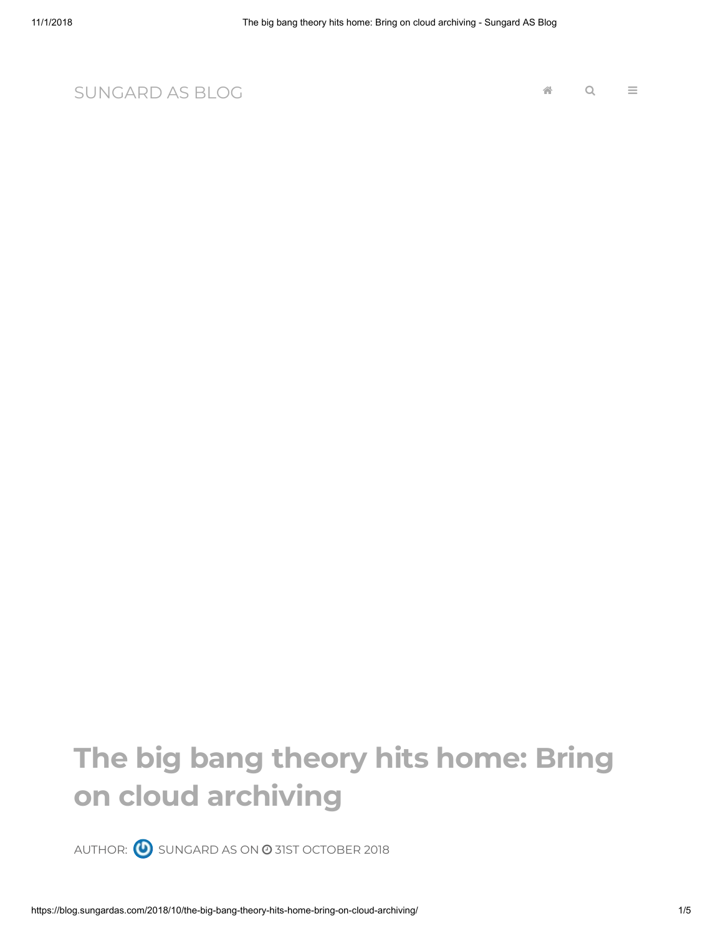[SUNGARD AS](https://blog.sungardas.com/) BLOG

## **The big bang theory hits home: Bring on cloud archiving**

AUTHOR:  $\bigcirc$  [SUNGARD](https://blog.sungardas.com/author/sungard-as-contributor/) AS ON  $\odot$  31ST [OCTOBER](https://blog.sungardas.com/2018/10/the-big-bang-theory-hits-home-bring-on-cloud-archiving/) 2018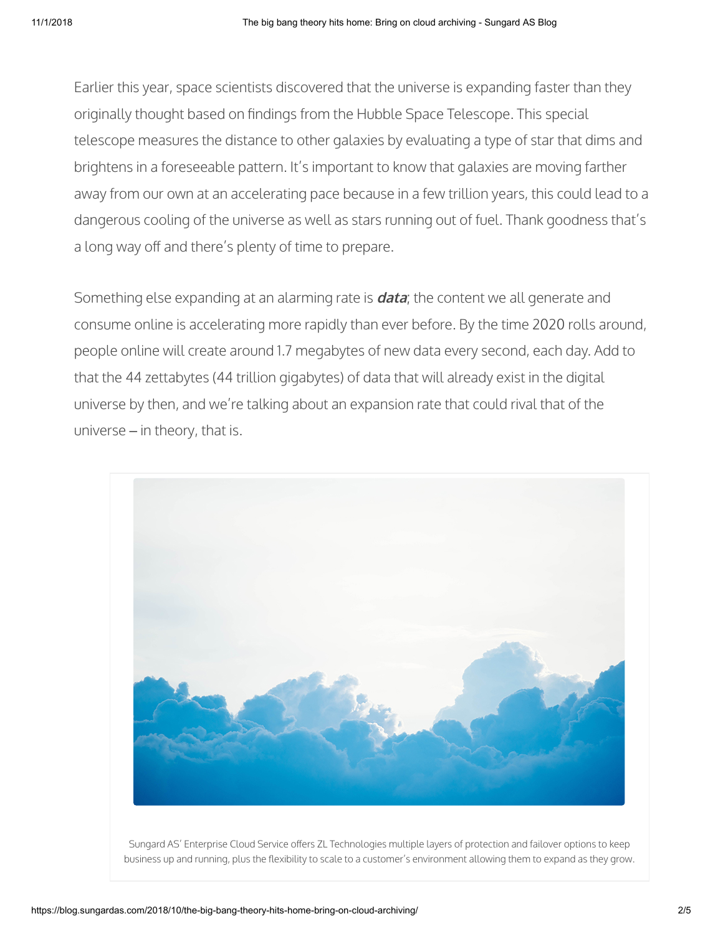Earlier this year, space scientists discovered that the universe is expanding faster than they originally thought based on findings from the Hubble Space Telescope. This special telescope measures the distance to other galaxies by evaluating a type of star that dims and brightens in a foreseeable pattern. It's important to know that galaxies are moving farther away from our own at an accelerating pace because in a few trillion years, this could lead to a dangerous cooling of the universe as well as stars running out of fuel. Thank goodness that's a long way off and there's plenty of time to prepare.

Something else expanding at an alarming rate is **data**; the content we all generate and consume online is accelerating more rapidly than ever before. By the time 2020 rolls around, people online will create around 1.7 megabytes of new data every second, each day. Add to that the 44 zettabytes (44 trillion gigabytes) of data that will already exist in the digital universe by then, and we're talking about an expansion rate that could rival that of the universe – in theory, that is.



Sungard AS' Enterprise Cloud Service offers ZL Technologies multiple layers of protection and failover options to keep business up and running, plus the flexibility to scale to a customer's environment allowing them to expand as they grow.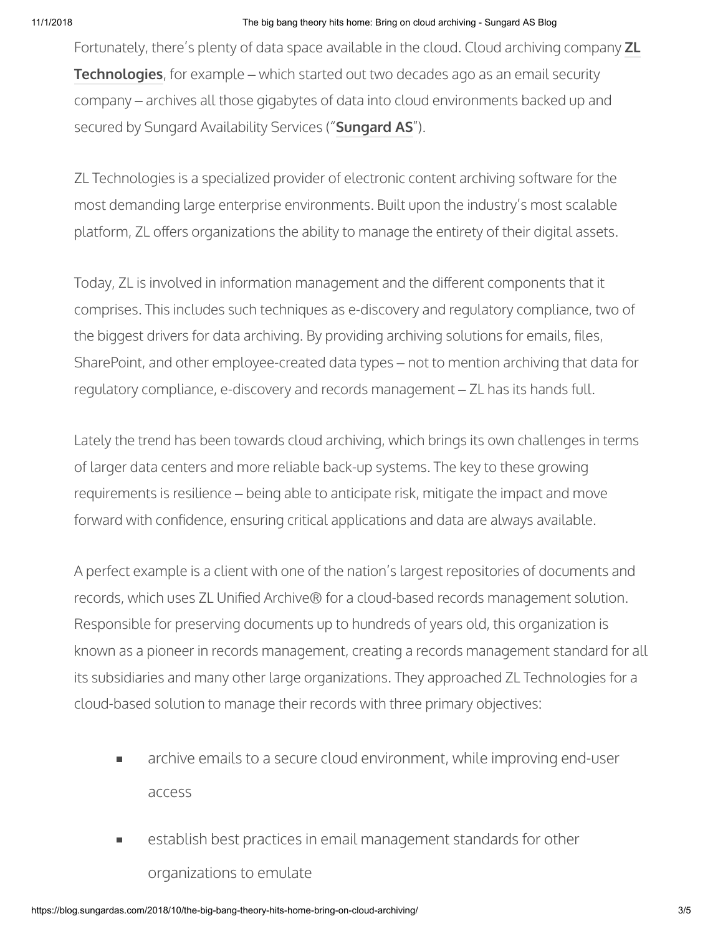## 11/1/2018 The big bang theory hits home: Bring on cloud archiving - Sungard AS Blog

[Fortunately, there's plenty of data space available in the cloud. Cloud archiving company](http://www.zlti.com/) **ZL Technologies**, for example – which started out two decades ago as an email security company – archives all those gigabytes of data into cloud environments backed up and secured by Sungard Availability Services ("**[Sungard AS](http://www.sungardas.com/)**").

ZL Technologies is a specialized provider of electronic content archiving software for the most demanding large enterprise environments. Built upon the industry's most scalable platform, ZL offers organizations the ability to manage the entirety of their digital assets.

Today, ZL is involved in information management and the different components that it comprises. This includes such techniques as e-discovery and regulatory compliance, two of the biggest drivers for data archiving. By providing archiving solutions for emails, files, SharePoint, and other employee-created data types – not to mention archiving that data for regulatory compliance, e-discovery and records management – ZL has its hands full.

Lately the trend has been towards cloud archiving, which brings its own challenges in terms of larger data centers and more reliable back-up systems. The key to these growing requirements is resilience – being able to anticipate risk, mitigate the impact and move forward with confidence, ensuring critical applications and data are always available.

A perfect example is a client with one of the nation's largest repositories of documents and records, which uses ZL Unified Archive® for a cloud-based records management solution. Responsible for preserving documents up to hundreds of years old, this organization is known as a pioneer in records management, creating a records management standard for all its subsidiaries and many other large organizations. They approached ZL Technologies for a cloud-based solution to manage their records with three primary objectives:

- archive emails to a secure cloud environment, while improving end-user  $\blacksquare$ access
- establish best practices in email management standards for other  $\blacksquare$ organizations to emulate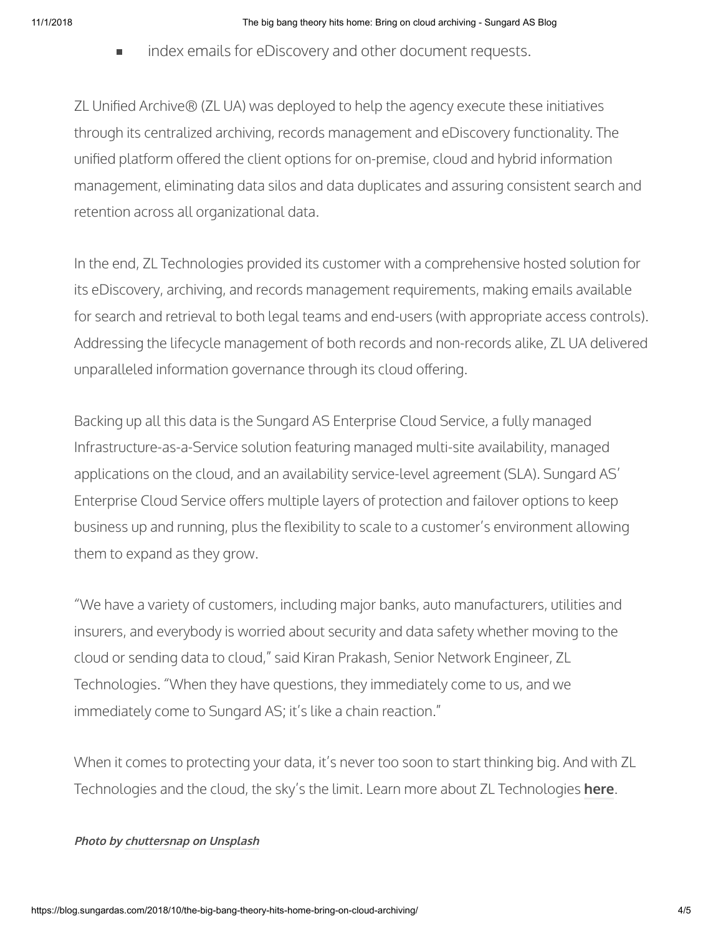index emails for eDiscovery and other document requests.  $\blacksquare$ 

ZL Unified Archive® (ZL UA) was deployed to help the agency execute these initiatives through its centralized archiving, records management and eDiscovery functionality. The unified platform offered the client options for on-premise, cloud and hybrid information management, eliminating data silos and data duplicates and assuring consistent search and retention across all organizational data.

In the end, ZL Technologies provided its customer with a comprehensive hosted solution for its eDiscovery, archiving, and records management requirements, making emails available for search and retrieval to both legal teams and end-users (with appropriate access controls). Addressing the lifecycle management of both records and non-records alike, ZL UA delivered unparalleled information governance through its cloud offering.

Backing up all this data is the Sungard AS Enterprise Cloud Service, a fully managed Infrastructure-as-a-Service solution featuring managed multi-site availability, managed applications on the cloud, and an availability service-level agreement (SLA). Sungard AS' Enterprise Cloud Service offers multiple layers of protection and failover options to keep business up and running, plus the flexibility to scale to a customer's environment allowing them to expand as they grow.

"We have a variety of customers, including major banks, auto manufacturers, utilities and insurers, and everybody is worried about security and data safety whether moving to the cloud or sending data to cloud," said Kiran Prakash, Senior Network Engineer, ZL Technologies. "When they have questions, they immediately come to us, and we immediately come to Sungard AS; it's like a chain reaction."

When it comes to protecting your data, it's never too soon to start thinking big. And with ZL Technologies and the cloud, the sky's the limit. Learn more about ZL Technologies **[here](http://www.zlti.com/)**.

## **Photo by [chuttersnap](https://unsplash.com/photos/9AqIdzEc9pY?utm_source=unsplash&utm_medium=referral&utm_content=creditCopyText) on [Unsplash](https://unsplash.com/search/photos/clouds?utm_source=unsplash&utm_medium=referral&utm_content=creditCopyText)**